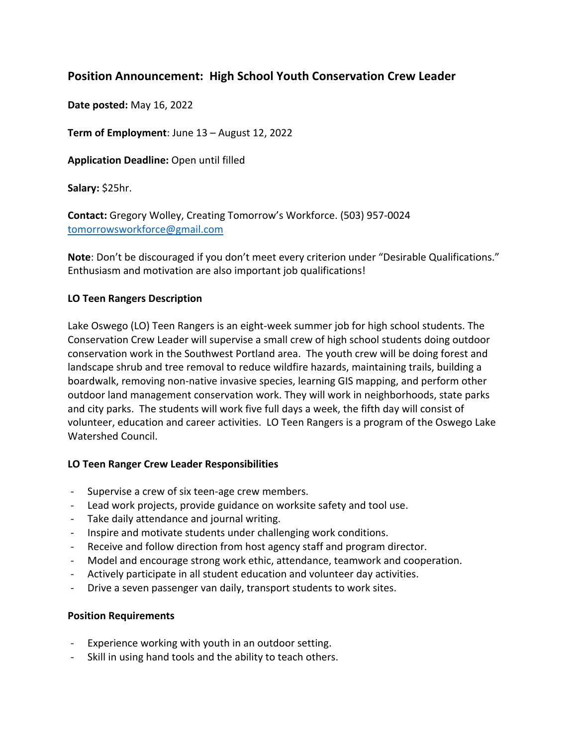# **Position Announcement: High School Youth Conservation Crew Leader**

**Date posted:** May 16, 2022

**Term of Employment**: June 13 – August 12, 2022

**Application Deadline:** Open until filled

**Salary:** \$25hr.

**Contact:** Gregory Wolley, Creating Tomorrow's Workforce. (503) 957-0024 tomorrowsworkforce@gmail.com

**Note**: Don't be discouraged if you don't meet every criterion under "Desirable Qualifications." Enthusiasm and motivation are also important job qualifications!

## **LO Teen Rangers Description**

Lake Oswego (LO) Teen Rangers is an eight-week summer job for high school students. The Conservation Crew Leader will supervise a small crew of high school students doing outdoor conservation work in the Southwest Portland area. The youth crew will be doing forest and landscape shrub and tree removal to reduce wildfire hazards, maintaining trails, building a boardwalk, removing non-native invasive species, learning GIS mapping, and perform other outdoor land management conservation work. They will work in neighborhoods, state parks and city parks. The students will work five full days a week, the fifth day will consist of volunteer, education and career activities. LO Teen Rangers is a program of the Oswego Lake Watershed Council.

## **LO Teen Ranger Crew Leader Responsibilities**

- Supervise a crew of six teen-age crew members.
- Lead work projects, provide guidance on worksite safety and tool use.
- Take daily attendance and journal writing.
- Inspire and motivate students under challenging work conditions.
- Receive and follow direction from host agency staff and program director.
- Model and encourage strong work ethic, attendance, teamwork and cooperation.
- Actively participate in all student education and volunteer day activities.
- Drive a seven passenger van daily, transport students to work sites.

## **Position Requirements**

- Experience working with youth in an outdoor setting.
- Skill in using hand tools and the ability to teach others.